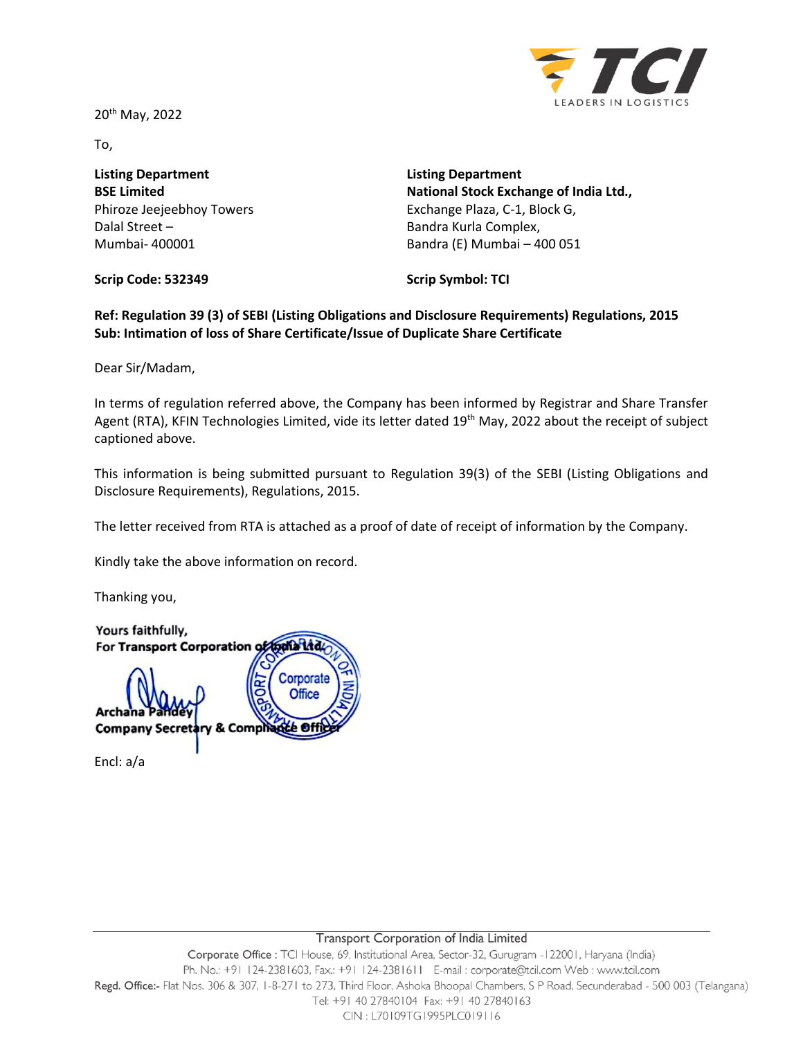20<sup>th</sup> May, 2022



To,

**Listing Department BSE Limited** Phiroze Jeejeebhoy Towers Dalal Street – Mumbai- 400001

**Listing Department National Stock Exchange of India Ltd.,** Exchange Plaza, C-1, Block G, Bandra Kurla Complex, Bandra (E) Mumbai – 400 051

**Scrip Code: 532349**

**Scrip Symbol: TCI**

**Ref: Regulation 39 (3) of SEBI (Listing Obligations and Disclosure Requirements) Regulations, 2015 Sub: Intimation of loss of Share Certificate/Issue of Duplicate Share Certificate**

Dear Sir/Madam,

In terms of regulation referred above, the Company has been informed by Registrar and Share Transfer Agent (RTA), KFIN Technologies Limited, vide its letter dated 19<sup>th</sup> May, 2022 about the receipt of subject captioned above.

This information is being submitted pursuant to Regulation 39(3) of the SEBI (Listing Obligations and Disclosure Requirements), Regulations, 2015.

The letter received from RTA is attached as a proof of date of receipt of information by the Company.

Kindly take the above information on record.

Thanking you,

Yours faithfully, For Transport Corporation of todia Ltd Corporate **Office** Archana **Company Secret & Comph**